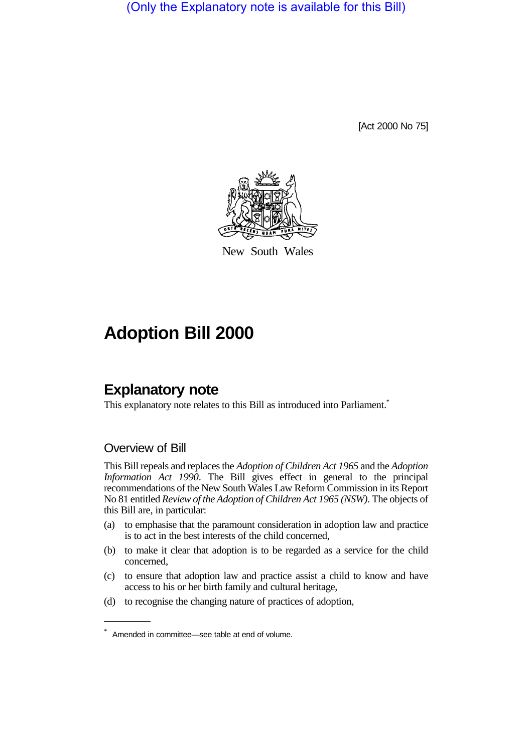(Only the Explanatory note is available for this Bill)

[Act 2000 No 75]



New South Wales

# **Adoption Bill 2000**

## **Explanatory note**

This explanatory note relates to this Bill as introduced into Parliament.<sup>\*</sup>

#### Overview of Bill

This Bill repeals and replaces the *Adoption of Children Act 1965* and the *Adoption Information Act 1990*. The Bill gives effect in general to the principal recommendations of the New South Wales Law Reform Commission in its Report No 81 entitled *Review of the Adoption of Children Act 1965 (NSW)*. The objects of this Bill are, in particular:

- (a) to emphasise that the paramount consideration in adoption law and practice is to act in the best interests of the child concerned,
- (b) to make it clear that adoption is to be regarded as a service for the child concerned,
- (c) to ensure that adoption law and practice assist a child to know and have access to his or her birth family and cultural heritage,
- (d) to recognise the changing nature of practices of adoption,

<sup>\*</sup> Amended in committee—see table at end of volume.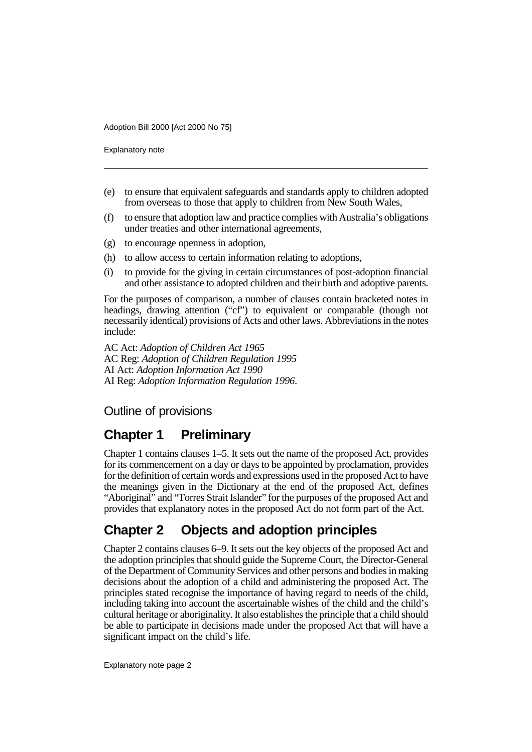Explanatory note

- (e) to ensure that equivalent safeguards and standards apply to children adopted from overseas to those that apply to children from New South Wales,
- (f) to ensure that adoption law and practice complies with Australia's obligations under treaties and other international agreements,
- (g) to encourage openness in adoption,
- (h) to allow access to certain information relating to adoptions,
- (i) to provide for the giving in certain circumstances of post-adoption financial and other assistance to adopted children and their birth and adoptive parents.

For the purposes of comparison, a number of clauses contain bracketed notes in headings, drawing attention ("cf") to equivalent or comparable (though not necessarily identical) provisions of Acts and other laws. Abbreviations in the notes include:

AC Act: *Adoption of Children Act 1965* AC Reg: *Adoption of Children Regulation 1995* AI Act: *Adoption Information Act 1990* AI Reg: *Adoption Information Regulation 1996*.

#### Outline of provisions

# **Chapter 1 Preliminary**

Chapter 1 contains clauses 1–5. It sets out the name of the proposed Act, provides for its commencement on a day or days to be appointed by proclamation, provides for the definition of certain words and expressions used in the proposed Act to have the meanings given in the Dictionary at the end of the proposed Act, defines "Aboriginal" and "Torres Strait Islander" for the purposes of the proposed Act and provides that explanatory notes in the proposed Act do not form part of the Act.

# **Chapter 2 Objects and adoption principles**

Chapter 2 contains clauses 6–9. It sets out the key objects of the proposed Act and the adoption principles that should guide the Supreme Court, the Director-General of the Department of Community Services and other persons and bodies in making decisions about the adoption of a child and administering the proposed Act. The principles stated recognise the importance of having regard to needs of the child, including taking into account the ascertainable wishes of the child and the child's cultural heritage or aboriginality. It also establishes the principle that a child should be able to participate in decisions made under the proposed Act that will have a significant impact on the child's life.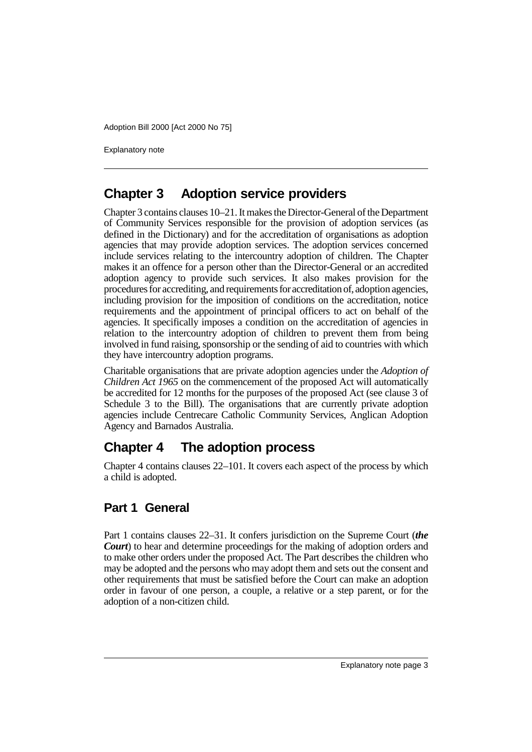Explanatory note

## **Chapter 3 Adoption service providers**

Chapter 3 contains clauses 10–21. It makes the Director-General of the Department of Community Services responsible for the provision of adoption services (as defined in the Dictionary) and for the accreditation of organisations as adoption agencies that may provide adoption services. The adoption services concerned include services relating to the intercountry adoption of children. The Chapter makes it an offence for a person other than the Director-General or an accredited adoption agency to provide such services. It also makes provision for the procedures for accrediting, and requirements for accreditation of, adoption agencies, including provision for the imposition of conditions on the accreditation, notice requirements and the appointment of principal officers to act on behalf of the agencies. It specifically imposes a condition on the accreditation of agencies in relation to the intercountry adoption of children to prevent them from being involved in fund raising, sponsorship or the sending of aid to countries with which they have intercountry adoption programs.

Charitable organisations that are private adoption agencies under the *Adoption of Children Act 1965* on the commencement of the proposed Act will automatically be accredited for 12 months for the purposes of the proposed Act (see clause 3 of Schedule 3 to the Bill). The organisations that are currently private adoption agencies include Centrecare Catholic Community Services, Anglican Adoption Agency and Barnados Australia.

# **Chapter 4 The adoption process**

Chapter 4 contains clauses 22–101. It covers each aspect of the process by which a child is adopted.

#### **Part 1 General**

Part 1 contains clauses 22–31. It confers jurisdiction on the Supreme Court (*the Court*) to hear and determine proceedings for the making of adoption orders and to make other orders under the proposed Act. The Part describes the children who may be adopted and the persons who may adopt them and sets out the consent and other requirements that must be satisfied before the Court can make an adoption order in favour of one person, a couple, a relative or a step parent, or for the adoption of a non-citizen child.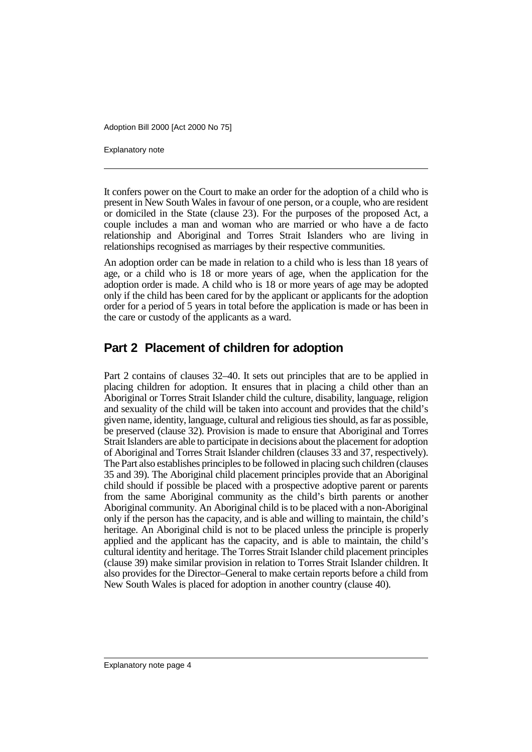Explanatory note

It confers power on the Court to make an order for the adoption of a child who is present in New South Wales in favour of one person, or a couple, who are resident or domiciled in the State (clause 23). For the purposes of the proposed Act, a couple includes a man and woman who are married or who have a de facto relationship and Aboriginal and Torres Strait Islanders who are living in relationships recognised as marriages by their respective communities.

An adoption order can be made in relation to a child who is less than 18 years of age, or a child who is 18 or more years of age, when the application for the adoption order is made. A child who is 18 or more years of age may be adopted only if the child has been cared for by the applicant or applicants for the adoption order for a period of 5 years in total before the application is made or has been in the care or custody of the applicants as a ward.

#### **Part 2 Placement of children for adoption**

Part 2 contains of clauses 32–40. It sets out principles that are to be applied in placing children for adoption. It ensures that in placing a child other than an Aboriginal or Torres Strait Islander child the culture, disability, language, religion and sexuality of the child will be taken into account and provides that the child's given name, identity, language, cultural and religious ties should, as far as possible, be preserved (clause 32). Provision is made to ensure that Aboriginal and Torres Strait Islanders are able to participate in decisions about the placement for adoption of Aboriginal and Torres Strait Islander children (clauses 33 and 37, respectively). The Part also establishes principles to be followed in placing such children (clauses 35 and 39). The Aboriginal child placement principles provide that an Aboriginal child should if possible be placed with a prospective adoptive parent or parents from the same Aboriginal community as the child's birth parents or another Aboriginal community. An Aboriginal child is to be placed with a non-Aboriginal only if the person has the capacity, and is able and willing to maintain, the child's heritage. An Aboriginal child is not to be placed unless the principle is properly applied and the applicant has the capacity, and is able to maintain, the child's cultural identity and heritage. The Torres Strait Islander child placement principles (clause 39) make similar provision in relation to Torres Strait Islander children. It also provides for the Director–General to make certain reports before a child from New South Wales is placed for adoption in another country (clause 40).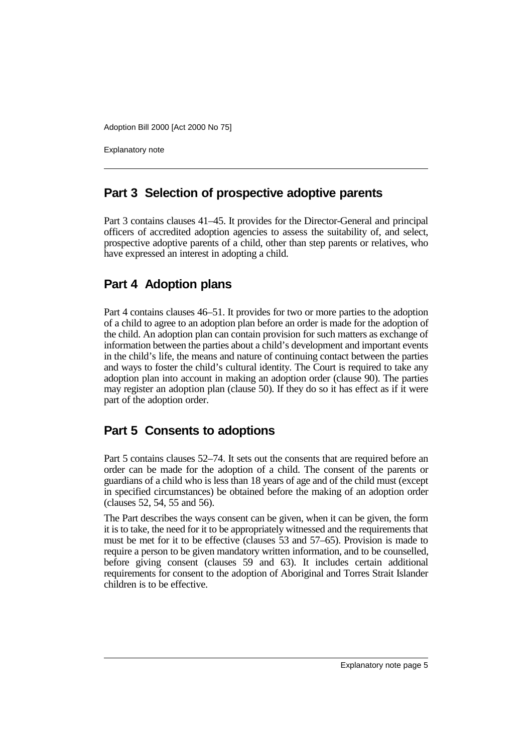Explanatory note

#### **Part 3 Selection of prospective adoptive parents**

Part 3 contains clauses 41–45. It provides for the Director-General and principal officers of accredited adoption agencies to assess the suitability of, and select, prospective adoptive parents of a child, other than step parents or relatives, who have expressed an interest in adopting a child.

#### **Part 4 Adoption plans**

Part 4 contains clauses 46–51. It provides for two or more parties to the adoption of a child to agree to an adoption plan before an order is made for the adoption of the child. An adoption plan can contain provision for such matters as exchange of information between the parties about a child's development and important events in the child's life, the means and nature of continuing contact between the parties and ways to foster the child's cultural identity. The Court is required to take any adoption plan into account in making an adoption order (clause 90). The parties may register an adoption plan (clause 50). If they do so it has effect as if it were part of the adoption order.

#### **Part 5 Consents to adoptions**

Part 5 contains clauses 52–74. It sets out the consents that are required before an order can be made for the adoption of a child. The consent of the parents or guardians of a child who is less than 18 years of age and of the child must (except in specified circumstances) be obtained before the making of an adoption order (clauses 52, 54, 55 and 56).

The Part describes the ways consent can be given, when it can be given, the form it is to take, the need for it to be appropriately witnessed and the requirements that must be met for it to be effective (clauses 53 and 57–65). Provision is made to require a person to be given mandatory written information, and to be counselled, before giving consent (clauses 59 and 63). It includes certain additional requirements for consent to the adoption of Aboriginal and Torres Strait Islander children is to be effective.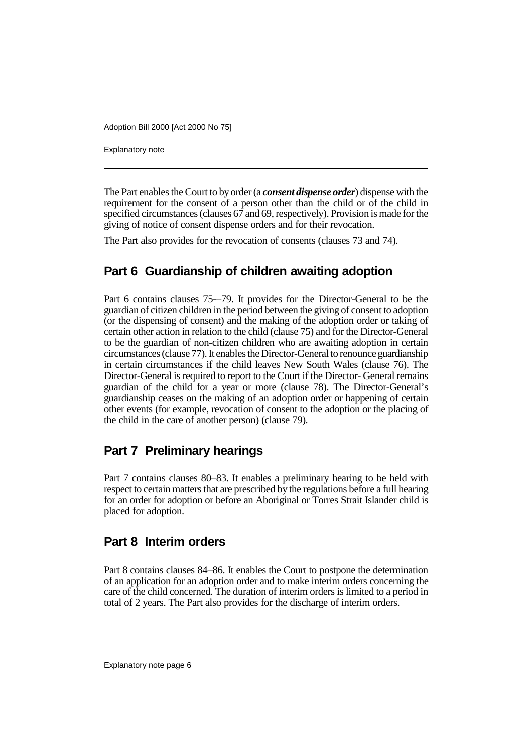Explanatory note

The Part enables the Court to by order (a *consent dispense order*) dispense with the requirement for the consent of a person other than the child or of the child in specified circumstances (clauses 67 and 69, respectively). Provision is made for the giving of notice of consent dispense orders and for their revocation.

The Part also provides for the revocation of consents (clauses 73 and 74).

## **Part 6 Guardianship of children awaiting adoption**

Part 6 contains clauses 75-–79. It provides for the Director-General to be the guardian of citizen children in the period between the giving of consent to adoption (or the dispensing of consent) and the making of the adoption order or taking of certain other action in relation to the child (clause 75) and for the Director-General to be the guardian of non-citizen children who are awaiting adoption in certain circumstances (clause 77). It enables the Director-General to renounce guardianship in certain circumstances if the child leaves New South Wales (clause 76). The Director-General is required to report to the Court if the Director- General remains guardian of the child for a year or more (clause 78). The Director-General's guardianship ceases on the making of an adoption order or happening of certain other events (for example, revocation of consent to the adoption or the placing of the child in the care of another person) (clause 79).

## **Part 7 Preliminary hearings**

Part 7 contains clauses 80–83. It enables a preliminary hearing to be held with respect to certain matters that are prescribed by the regulations before a full hearing for an order for adoption or before an Aboriginal or Torres Strait Islander child is placed for adoption.

#### **Part 8 Interim orders**

Part 8 contains clauses 84–86. It enables the Court to postpone the determination of an application for an adoption order and to make interim orders concerning the care of the child concerned. The duration of interim orders is limited to a period in total of 2 years. The Part also provides for the discharge of interim orders.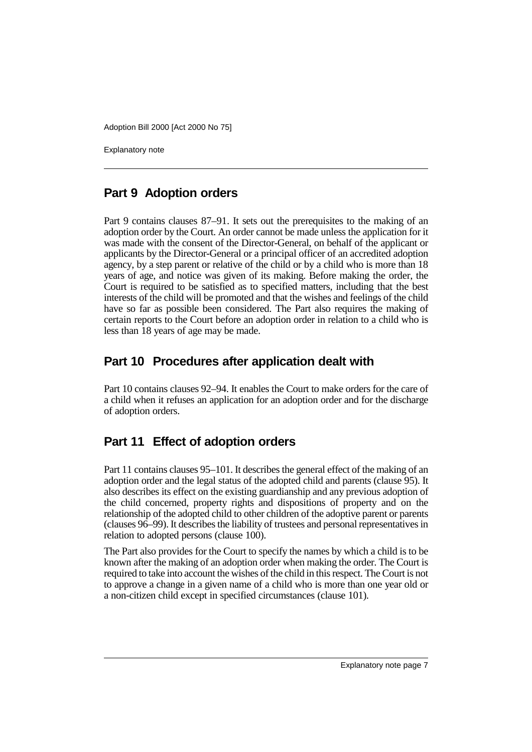Explanatory note

## **Part 9 Adoption orders**

Part 9 contains clauses 87–91. It sets out the prerequisites to the making of an adoption order by the Court. An order cannot be made unless the application for it was made with the consent of the Director-General, on behalf of the applicant or applicants by the Director-General or a principal officer of an accredited adoption agency, by a step parent or relative of the child or by a child who is more than 18 years of age, and notice was given of its making. Before making the order, the Court is required to be satisfied as to specified matters, including that the best interests of the child will be promoted and that the wishes and feelings of the child have so far as possible been considered. The Part also requires the making of certain reports to the Court before an adoption order in relation to a child who is less than 18 years of age may be made.

#### **Part 10 Procedures after application dealt with**

Part 10 contains clauses 92–94. It enables the Court to make orders for the care of a child when it refuses an application for an adoption order and for the discharge of adoption orders.

## **Part 11 Effect of adoption orders**

Part 11 contains clauses 95–101. It describes the general effect of the making of an adoption order and the legal status of the adopted child and parents (clause 95). It also describes its effect on the existing guardianship and any previous adoption of the child concerned, property rights and dispositions of property and on the relationship of the adopted child to other children of the adoptive parent or parents (clauses 96–99). It describes the liability of trustees and personal representatives in relation to adopted persons (clause 100).

The Part also provides for the Court to specify the names by which a child is to be known after the making of an adoption order when making the order. The Court is required to take into account the wishes of the child in this respect. The Court is not to approve a change in a given name of a child who is more than one year old or a non-citizen child except in specified circumstances (clause 101).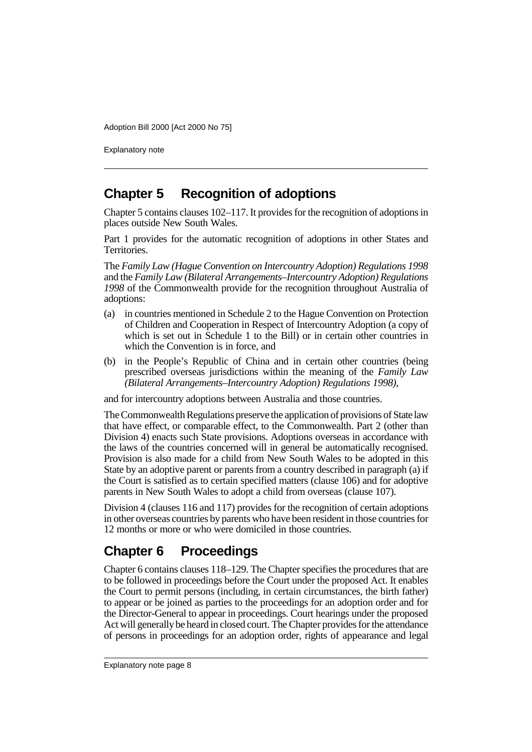Explanatory note

# **Chapter 5 Recognition of adoptions**

Chapter 5 contains clauses 102–117. It provides for the recognition of adoptions in places outside New South Wales.

Part 1 provides for the automatic recognition of adoptions in other States and Territories.

The *Family Law (Hague Convention on Intercountry Adoption) Regulations 1998* and the *Family Law (Bilateral Arrangements–Intercountry Adoption) Regulations 1998* of the Commonwealth provide for the recognition throughout Australia of adoptions:

- (a) in countries mentioned in Schedule 2 to the Hague Convention on Protection of Children and Cooperation in Respect of Intercountry Adoption (a copy of which is set out in Schedule 1 to the Bill) or in certain other countries in which the Convention is in force, and
- (b) in the People's Republic of China and in certain other countries (being prescribed overseas jurisdictions within the meaning of the *Family Law (Bilateral Arrangements–Intercountry Adoption) Regulations 1998)*,

and for intercountry adoptions between Australia and those countries.

The Commonwealth Regulations preserve the application of provisions of State law that have effect, or comparable effect, to the Commonwealth. Part 2 (other than Division 4) enacts such State provisions. Adoptions overseas in accordance with the laws of the countries concerned will in general be automatically recognised. Provision is also made for a child from New South Wales to be adopted in this State by an adoptive parent or parents from a country described in paragraph (a) if the Court is satisfied as to certain specified matters (clause 106) and for adoptive parents in New South Wales to adopt a child from overseas (clause 107).

Division 4 (clauses 116 and 117) provides for the recognition of certain adoptions in other overseas countries by parents who have been resident in those countries for 12 months or more or who were domiciled in those countries.

# **Chapter 6 Proceedings**

Chapter 6 contains clauses 118–129. The Chapter specifies the procedures that are to be followed in proceedings before the Court under the proposed Act. It enables the Court to permit persons (including, in certain circumstances, the birth father) to appear or be joined as parties to the proceedings for an adoption order and for the Director-General to appear in proceedings. Court hearings under the proposed Act will generally be heard in closed court. The Chapter provides for the attendance of persons in proceedings for an adoption order, rights of appearance and legal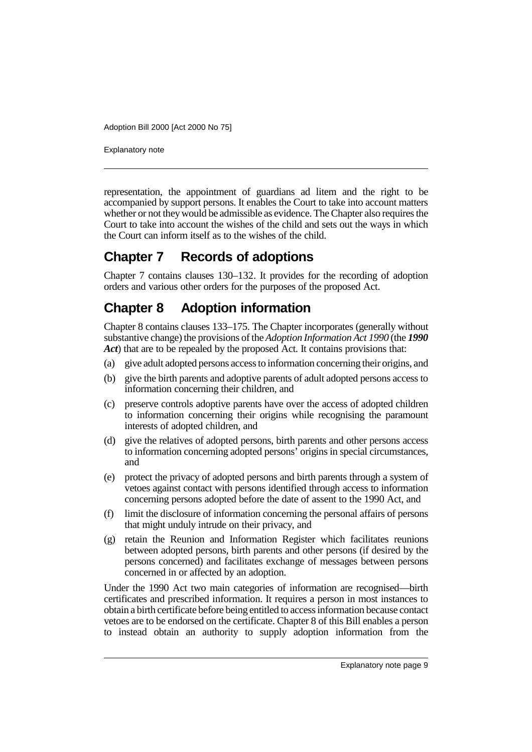Explanatory note

representation, the appointment of guardians ad litem and the right to be accompanied by support persons. It enables the Court to take into account matters whether or not they would be admissible as evidence. The Chapter also requires the Court to take into account the wishes of the child and sets out the ways in which the Court can inform itself as to the wishes of the child.

# **Chapter 7 Records of adoptions**

Chapter 7 contains clauses 130–132. It provides for the recording of adoption orders and various other orders for the purposes of the proposed Act.

# **Chapter 8 Adoption information**

Chapter 8 contains clauses 133–175. The Chapter incorporates (generally without substantive change) the provisions of the *Adoption Information Act 1990* (the *1990 Act*) that are to be repealed by the proposed Act. It contains provisions that:

- (a) give adult adopted persons access to information concerning their origins, and
- (b) give the birth parents and adoptive parents of adult adopted persons access to information concerning their children, and
- (c) preserve controls adoptive parents have over the access of adopted children to information concerning their origins while recognising the paramount interests of adopted children, and
- (d) give the relatives of adopted persons, birth parents and other persons access to information concerning adopted persons' origins in special circumstances, and
- (e) protect the privacy of adopted persons and birth parents through a system of vetoes against contact with persons identified through access to information concerning persons adopted before the date of assent to the 1990 Act, and
- (f) limit the disclosure of information concerning the personal affairs of persons that might unduly intrude on their privacy, and
- (g) retain the Reunion and Information Register which facilitates reunions between adopted persons, birth parents and other persons (if desired by the persons concerned) and facilitates exchange of messages between persons concerned in or affected by an adoption.

Under the 1990 Act two main categories of information are recognised—birth certificates and prescribed information. It requires a person in most instances to obtain a birth certificate before being entitled to access information because contact vetoes are to be endorsed on the certificate. Chapter 8 of this Bill enables a person to instead obtain an authority to supply adoption information from the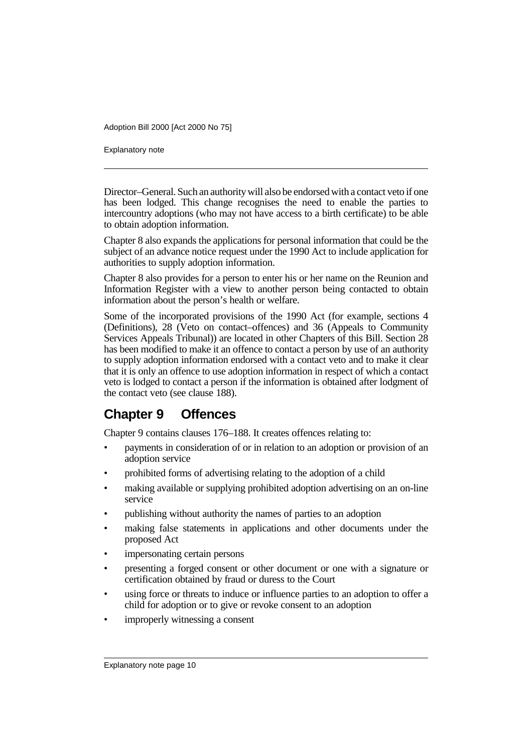Explanatory note

Director–General. Such an authority will also be endorsed with a contact veto if one has been lodged. This change recognises the need to enable the parties to intercountry adoptions (who may not have access to a birth certificate) to be able to obtain adoption information.

Chapter 8 also expands the applications for personal information that could be the subject of an advance notice request under the 1990 Act to include application for authorities to supply adoption information.

Chapter 8 also provides for a person to enter his or her name on the Reunion and Information Register with a view to another person being contacted to obtain information about the person's health or welfare.

Some of the incorporated provisions of the 1990 Act (for example, sections 4 (Definitions), 28 (Veto on contact–offences) and 36 (Appeals to Community Services Appeals Tribunal)) are located in other Chapters of this Bill. Section 28 has been modified to make it an offence to contact a person by use of an authority to supply adoption information endorsed with a contact veto and to make it clear that it is only an offence to use adoption information in respect of which a contact veto is lodged to contact a person if the information is obtained after lodgment of the contact veto (see clause 188).

# **Chapter 9 Offences**

Chapter 9 contains clauses 176–188. It creates offences relating to:

- payments in consideration of or in relation to an adoption or provision of an adoption service
- prohibited forms of advertising relating to the adoption of a child
- making available or supplying prohibited adoption advertising on an on-line service
- publishing without authority the names of parties to an adoption
- making false statements in applications and other documents under the proposed Act
- impersonating certain persons
- presenting a forged consent or other document or one with a signature or certification obtained by fraud or duress to the Court
- using force or threats to induce or influence parties to an adoption to offer a child for adoption or to give or revoke consent to an adoption
- improperly witnessing a consent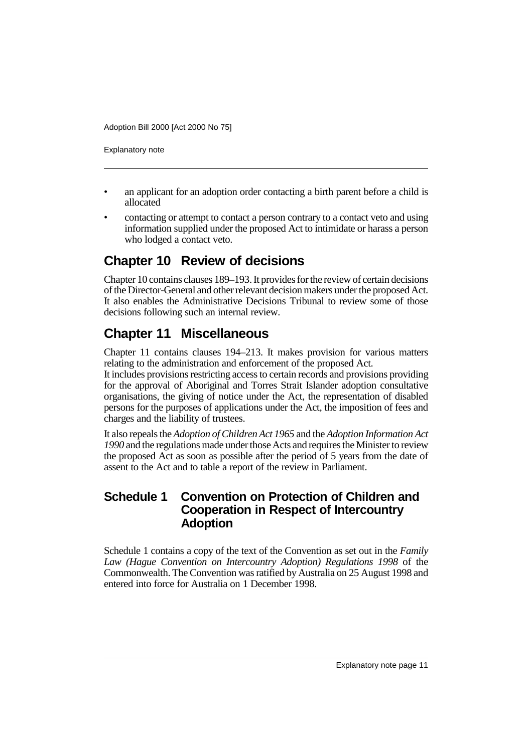Explanatory note

- an applicant for an adoption order contacting a birth parent before a child is allocated
- contacting or attempt to contact a person contrary to a contact veto and using information supplied under the proposed Act to intimidate or harass a person who lodged a contact veto.

# **Chapter 10 Review of decisions**

Chapter 10 contains clauses 189–193. It provides for the review of certain decisions of the Director-General and other relevant decision makers under the proposed Act. It also enables the Administrative Decisions Tribunal to review some of those decisions following such an internal review.

# **Chapter 11 Miscellaneous**

Chapter 11 contains clauses 194–213. It makes provision for various matters relating to the administration and enforcement of the proposed Act.

It includes provisions restricting access to certain records and provisions providing for the approval of Aboriginal and Torres Strait Islander adoption consultative organisations, the giving of notice under the Act, the representation of disabled persons for the purposes of applications under the Act, the imposition of fees and charges and the liability of trustees.

It also repeals the *Adoption of Children Act 1965* and the *Adoption Information Act 1990* and the regulations made under those Acts and requires the Minister to review the proposed Act as soon as possible after the period of 5 years from the date of assent to the Act and to table a report of the review in Parliament.

#### **Schedule 1 Convention on Protection of Children and Cooperation in Respect of Intercountry Adoption**

Schedule 1 contains a copy of the text of the Convention as set out in the *Family Law (Hague Convention on Intercountry Adoption) Regulations 1998* of the Commonwealth. The Convention was ratified by Australia on 25 August 1998 and entered into force for Australia on 1 December 1998.